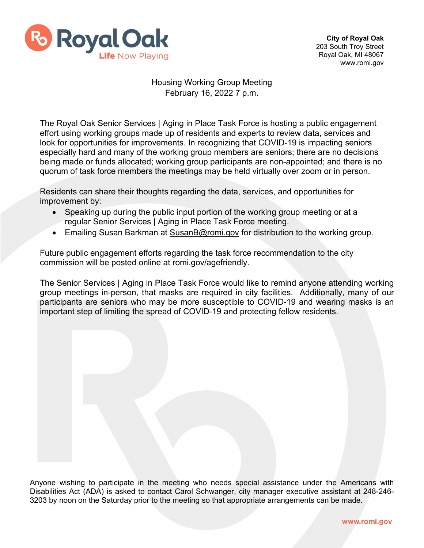

**City of Royal Oak**  203 South Troy Street Royal Oak, MI 48067 www.romi.gov

## Housing Working Group Meeting February 16, 2022 7 p.m.

The Royal Oak Senior Services | Aging in Place Task Force is hosting a public engagement effort using working groups made up of residents and experts to review data, services and look for opportunities for improvements. In recognizing that COVID-19 is impacting seniors especially hard and many of the working group members are seniors; there are no decisions being made or funds allocated; working group participants are non-appointed; and there is no quorum of task force members the meetings may be held virtually over zoom or in person.

Residents can share their thoughts regarding the data, services, and opportunities for improvement by:

- Speaking up during the public input portion of the working group meeting or at a regular Senior Services | Aging in Place Task Force meeting.
- Emailing Susan Barkman at [SusanB@romi.gov](mailto:SusanB@romi.gov) for distribution to the working group.

Future public engagement efforts regarding the task force recommendation to the city commission will be posted online at romi.gov/agefriendly.

The Senior Services | Aging in Place Task Force would like to remind anyone attending working group meetings in-person, that masks are required in city facilities. Additionally, many of our participants are seniors who may be more susceptible to COVID-19 and wearing masks is an important step of limiting the spread of COVID-19 and protecting fellow residents.

Anyone wishing to participate in the meeting who needs special assistance under the Americans with Disabilities Act (ADA) is asked to contact Carol Schwanger, city manager executive assistant at 248-246- 3203 by noon on the Saturday prior to the meeting so that appropriate arrangements can be made.